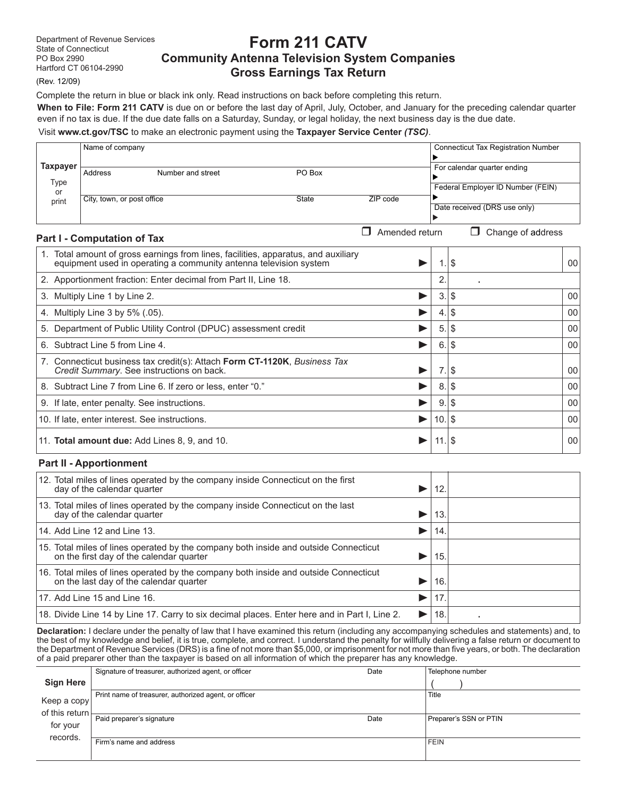**Part I - Computation of Tax**

# **Form 211 CATV Community Antenna Television System Companies Gross Earnings Tax Return**

(Rev. 12/09)

Complete the return in blue or black ink only. Read instructions on back before completing this return. **When to File: Form 211 CATV** is due on or before the last day of April, July, October, and January for the preceding calendar quarter even if no tax is due. If the due date falls on a Saturday, Sunday, or legal holiday, the next business day is the due date.

## Visit **www.ct.gov/TSC** to make an electronic payment using the **Taxpayer Service Center** *(TSC)*.

|                     | Name of company            |                   |        |          | <b>Connecticut Tax Registration Number</b> |
|---------------------|----------------------------|-------------------|--------|----------|--------------------------------------------|
| <b>Taxpayer</b>     | Address                    | Number and street | PO Box |          | For calendar quarter ending                |
| Type<br>or<br>print | City, town, or post office |                   | State  | ZIP code | Federal Employer ID Number (FEIN)          |
|                     |                            |                   |        |          | Date received (DRS use only)               |

 $\Box$  Amended return  $\Box$  Change of address

| $1$ and $1$ subsequently the state of $1$                                                                                                               |     |           |    |
|---------------------------------------------------------------------------------------------------------------------------------------------------------|-----|-----------|----|
| 1. Total amount of gross earnings from lines, facilities, apparatus, and auxiliary<br>equipment used in operating a community antenna television system |     | S.        | 00 |
| 2. Apportionment fraction: Enter decimal from Part II, Line 18.                                                                                         |     |           |    |
| 3. Multiply Line 1 by Line 2.                                                                                                                           | 3.  | \$        | 00 |
| 4. Multiply Line 3 by 5% (.05).                                                                                                                         | 4.  | \$        | 00 |
| 5. Department of Public Utility Control (DPUC) assessment credit                                                                                        | 5.  | \$        | 00 |
| 6. Subtract Line 5 from Line 4.                                                                                                                         | 6.  | \$        | 00 |
| 7. Connecticut business tax credit(s): Attach Form CT-1120K, Business Tax<br>Credit Summary. See instructions on back.                                  | 7.1 | \$        | 00 |
| 8. Subtract Line 7 from Line 6. If zero or less, enter "0."                                                                                             | 8.  | \$        | 00 |
| 9. If late, enter penalty. See instructions.                                                                                                            |     | \$<br>9.  | 00 |
| 10. If late, enter interest. See instructions.                                                                                                          |     | \$<br>10. | 00 |
| 11. Total amount due: Add Lines 8, 9, and 10.                                                                                                           |     |           | 00 |

#### **Part II - Apportionment**

| 12. Total miles of lines operated by the company inside Connecticut on the first<br>day of the calendar quarter                  | 12. |  |
|----------------------------------------------------------------------------------------------------------------------------------|-----|--|
| 13. Total miles of lines operated by the company inside Connecticut on the last<br>day of the calendar quarter                   | 13  |  |
| 14. Add Line 12 and Line 13.                                                                                                     | 14  |  |
| 15. Total miles of lines operated by the company both inside and outside Connecticut<br>on the first day of the calendar quarter | 15  |  |
| 16. Total miles of lines operated by the company both inside and outside Connecticut on the last day of the calendar quarter     | 16  |  |
| 17. Add Line 15 and Line 16.                                                                                                     | 17. |  |
| 18. Divide Line 14 by Line 17. Carry to six decimal places. Enter here and in Part I, Line 2.                                    | 18  |  |

**Declaration:** I declare under the penalty of law that I have examined this return (including any accompanying schedules and statements) and, to the best of my knowledge and belief, it is true, complete, and correct. I understand the penalty for willfully delivering a false return or document to the Department of Revenue Services (DRS) is a fine of not more than \$5,000, or imprisonment for not more than five years, or both. The declaration of a paid preparer other than the taxpayer is based on all information of which the preparer has any knowledge.

|                                                     | Signature of treasurer, authorized agent, or officer  | Date | Telephone number       |
|-----------------------------------------------------|-------------------------------------------------------|------|------------------------|
| <b>Sign Here</b>                                    |                                                       |      |                        |
| Keep a copy!<br>of this return $\vdash$<br>for your | Print name of treasurer, authorized agent, or officer |      | Title                  |
|                                                     | Paid preparer's signature                             | Date | Preparer's SSN or PTIN |
| records.                                            | Firm's name and address                               |      | <b>FEIN</b>            |